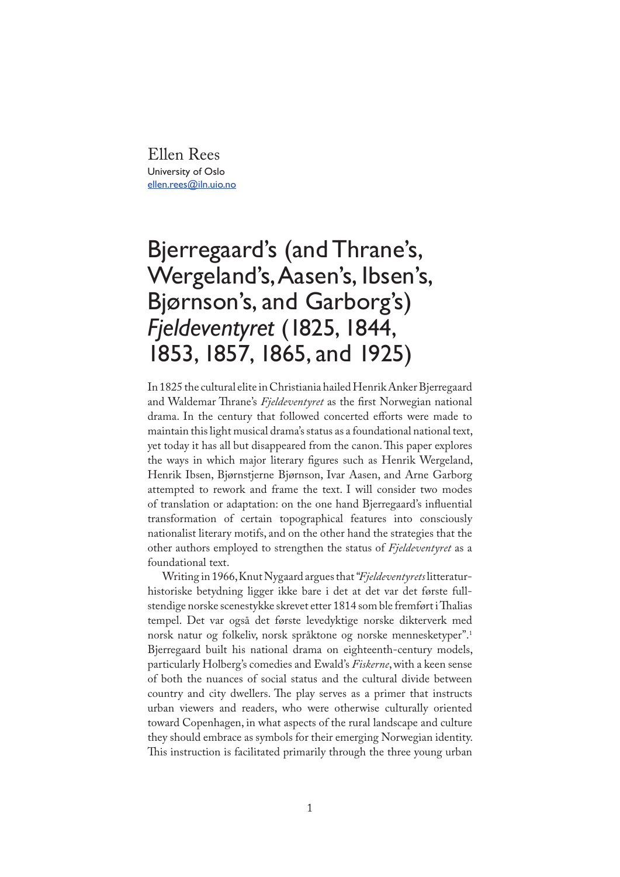Ellen Rees University of Oslo ellen.rees@iln.uio.no

## Bjerregaard's (and Thrane's, Wergeland's, Aasen's, Ibsen's, Bjørnson's, and Garborg's) *Fjeldeventyret* (1825, 1844, 1853, 1857, 1865, and 1925)

In 1825 the cultural elite in Christiania hailed Henrik Anker Bjerregaard and Waldemar Thrane's Fjeldeventyret as the first Norwegian national drama. In the century that followed concerted efforts were made to maintain this light musical drama's status as a foundational national text, yet today it has all but disappeared from the canon. This paper explores the ways in which major literary figures such as Henrik Wergeland, Henrik Ibsen, Bjørnstjerne Bjørnson, Ivar Aasen, and Arne Garborg attempted to rework and frame the text. I will consider two modes of translation or adaptation: on the one hand Bjerregaard's in�uential transformation of certain topographical features into consciously nationalist literary motifs, and on the other hand the strategies that the other authors employed to strengthen the status of *Fjeldeventyret* as a foundational text.

Writing in 1966, Knut Nygaard argues that "*Fjeldeventyrets* litteraturhistoriske betydning ligger ikke bare i det at det var det første fullstendige norske scenestykke skrevet etter 1814 som ble fremført i Thalias tempel. Det var også det første levedyktige norske dikterverk med norsk natur og folkeliv, norsk språktone og norske mennesketyper".1 Bjerregaard built his national drama on eighteenth-century models, particularly Holberg's comedies and Ewald's *Fiskerne*, with a keen sense of both the nuances of social status and the cultural divide between country and city dwellers. The play serves as a primer that instructs urban viewers and readers, who were otherwise culturally oriented toward Copenhagen, in what aspects of the rural landscape and culture they should embrace as symbols for their emerging Norwegian identity. This instruction is facilitated primarily through the three young urban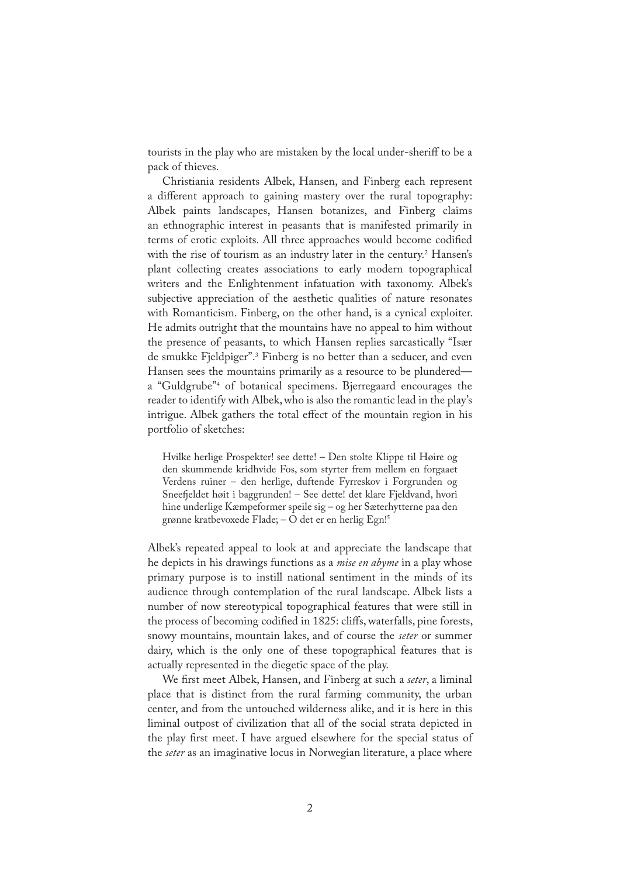tourists in the play who are mistaken by the local under-sheriff to be a pack of thieves.

Christiania residents Albek, Hansen, and Finberg each represent a different approach to gaining mastery over the rural topography: Albek paints landscapes, Hansen botanizes, and Finberg claims an ethnographic interest in peasants that is manifested primarily in terms of erotic exploits. All three approaches would become codified with the rise of tourism as an industry later in the century.<sup>2</sup> Hansen's plant collecting creates associations to early modern topographical writers and the Enlightenment infatuation with taxonomy. Albek's subjective appreciation of the aesthetic qualities of nature resonates with Romanticism. Finberg, on the other hand, is a cynical exploiter. He admits outright that the mountains have no appeal to him without the presence of peasants, to which Hansen replies sarcastically "Især de smukke Fjeldpiger".3 Finberg is no better than a seducer, and even Hansen sees the mountains primarily as a resource to be plundered a "Guldgrube"4 of botanical specimens. Bjerregaard encourages the reader to identify with Albek, who is also the romantic lead in the play's intrigue. Albek gathers the total effect of the mountain region in his portfolio of sketches:

Hvilke herlige Prospekter! see dette! – Den stolte Klippe til Høire og den skummende kridhvide Fos, som styrter frem mellem en forgaaet Verdens ruiner – den herlige, duftende Fyrreskov i Forgrunden og Sneefjeldet høit i baggrunden! – See dette! det klare Fjeldvand, hvori hine underlige Kæmpeformer speile sig – og her Sæterhytterne paa den grønne kratbevoxede Flade; – O det er en herlig Egn!5

Albek's repeated appeal to look at and appreciate the landscape that he depicts in his drawings functions as a *mise en abyme* in a play whose primary purpose is to instill national sentiment in the minds of its audience through contemplation of the rural landscape. Albek lists a number of now stereotypical topographical features that were still in the process of becoming codi�ed in 1825: cliffs, waterfalls, pine forests, snowy mountains, mountain lakes, and of course the *seter* or summer dairy, which is the only one of these topographical features that is actually represented in the diegetic space of the play.

We first meet Albek, Hansen, and Finberg at such a *seter*, a liminal place that is distinct from the rural farming community, the urban center, and from the untouched wilderness alike, and it is here in this liminal outpost of civilization that all of the social strata depicted in the play first meet. I have argued elsewhere for the special status of the *seter* as an imaginative locus in Norwegian literature, a place where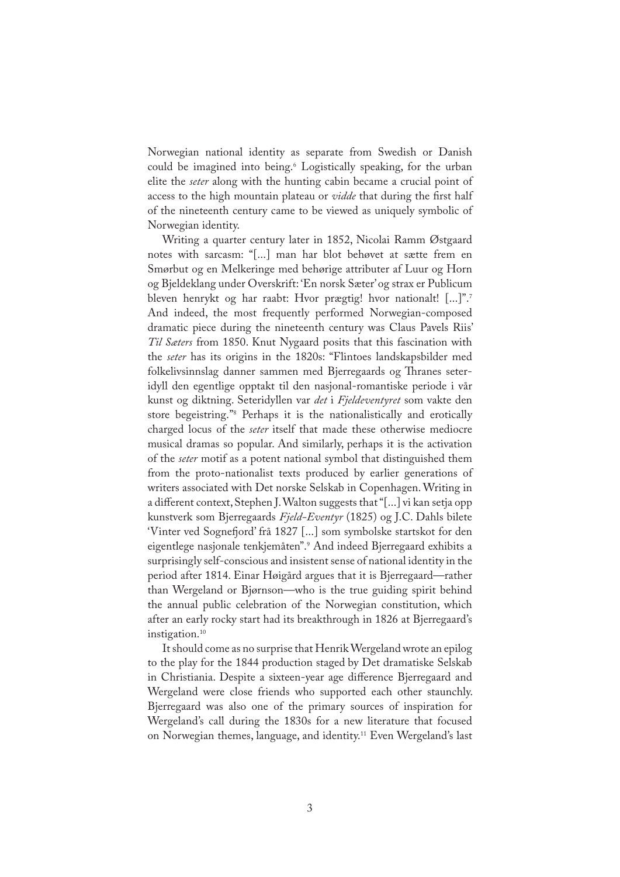Norwegian national identity as separate from Swedish or Danish could be imagined into being.6 Logistically speaking, for the urban elite the *seter* along with the hunting cabin became a crucial point of access to the high mountain plateau or *vidde* that during the first half of the nineteenth century came to be viewed as uniquely symbolic of Norwegian identity.

Writing a quarter century later in 1852, Nicolai Ramm Østgaard notes with sarcasm: "[...] man har blot behøvet at sætte frem en Smørbut og en Melkeringe med behørige attributer af Luur og Horn og Bjeldeklang under Overskrift: 'En norsk Sæter' og strax er Publicum bleven henrykt og har raabt: Hvor prægtig! hvor nationalt! [...]".7 And indeed, the most frequently performed Norwegian-composed dramatic piece during the nineteenth century was Claus Pavels Riis' *Til Sæters* from 1850. Knut Nygaard posits that this fascination with the *seter* has its origins in the 1820s: "Flintoes landskapsbilder med folkelivsinnslag danner sammen med Bjerregaards og Thranes seteridyll den egentlige opptakt til den nasjonal-romantiske periode i vår kunst og diktning. Seteridyllen var *det* i *Fjeldeventyret* som vakte den store begeistring."8 Perhaps it is the nationalistically and erotically charged locus of the *seter* itself that made these otherwise mediocre musical dramas so popular. And similarly, perhaps it is the activation of the *seter* motif as a potent national symbol that distinguished them from the proto-nationalist texts produced by earlier generations of writers associated with Det norske Selskab in Copenhagen. Writing in a different context, Stephen J. Walton suggests that "[...] vi kan setja opp kunstverk som Bjerregaards *Fjeld-Eventyr* (1825) og J.C. Dahls bilete 'Vinter ved Sognefjord' frå 1827 [...] som symbolske startskot for den eigentlege nasjonale tenkjemåten".9 And indeed Bjerregaard exhibits a surprisingly self-conscious and insistent sense of national identity in the period after 1814. Einar Høigård argues that it is Bjerregaard—rather than Wergeland or Bjørnson—who is the true guiding spirit behind the annual public celebration of the Norwegian constitution, which after an early rocky start had its breakthrough in 1826 at Bjerregaard's instigation.<sup>10</sup>

It should come as no surprise that Henrik Wergeland wrote an epilog to the play for the 1844 production staged by Det dramatiske Selskab in Christiania. Despite a sixteen-year age difference Bjerregaard and Wergeland were close friends who supported each other staunchly. Bjerregaard was also one of the primary sources of inspiration for Wergeland's call during the 1830s for a new literature that focused on Norwegian themes, language, and identity.11 Even Wergeland's last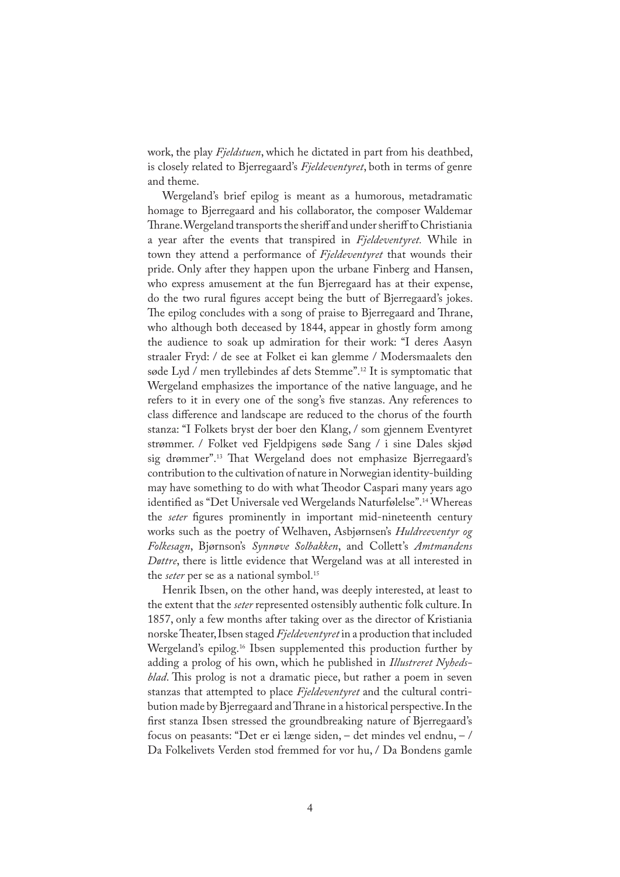work, the play *Fjeldstuen*, which he dictated in part from his deathbed, is closely related to Bjerregaard's *Fjeldeventyret*, both in terms of genre and theme.

Wergeland's brief epilog is meant as a humorous, metadramatic homage to Bjerregaard and his collaborator, the composer Waldemar Thrane. Wergeland transports the sheriff and under sheriff to Christiania a year after the events that transpired in *Fjeldeventyret.* While in town they attend a performance of *Fjeldeventyret* that wounds their pride. Only after they happen upon the urbane Finberg and Hansen, who express amusement at the fun Bjerregaard has at their expense, do the two rural figures accept being the butt of Bjerregaard's jokes. The epilog concludes with a song of praise to Bjerregaard and Thrane, who although both deceased by 1844, appear in ghostly form among the audience to soak up admiration for their work: "I deres Aasyn straaler Fryd: / de see at Folket ei kan glemme / Modersmaalets den søde Lyd / men tryllebindes af dets Stemme".12 It is symptomatic that Wergeland emphasizes the importance of the native language, and he refers to it in every one of the song's five stanzas. Any references to class difference and landscape are reduced to the chorus of the fourth stanza: "I Folkets bryst der boer den Klang, / som gjennem Eventyret strømmer. / Folket ved Fjeldpigens søde Sang / i sine Dales skjød sig drømmer".<sup>13</sup> That Wergeland does not emphasize Bjerregaard's contribution to the cultivation of nature in Norwegian identity-building may have something to do with what Theodor Caspari many years ago identified as "Det Universale ved Wergelands Naturfølelse".<sup>14</sup> Whereas the *seter* figures prominently in important mid-nineteenth century works such as the poetry of Welhaven, Asbjørnsen's *Huldreeventyr og Folkesagn*, Bjørnson's *Synnøve Solbakken*, and Collett's *Amtmandens Døttre*, there is little evidence that Wergeland was at all interested in the *seter* per se as a national symbol.<sup>15</sup>

Henrik Ibsen, on the other hand, was deeply interested, at least to the extent that the *seter* represented ostensibly authentic folk culture. In 1857, only a few months after taking over as the director of Kristiania norske Theater, Ibsen staged *Fjeldeventyret* in a production that included Wergeland's epilog.<sup>16</sup> Ibsen supplemented this production further by adding a prolog of his own, which he published in *Illustreret Nyheds*blad. This prolog is not a dramatic piece, but rather a poem in seven stanzas that attempted to place *Fjeldeventyret* and the cultural contribution made by Bjerregaard and Thrane in a historical perspective. In the first stanza Ibsen stressed the groundbreaking nature of Bjerregaard's focus on peasants: "Det er ei længe siden, – det mindes vel endnu, – / Da Folkelivets Verden stod fremmed for vor hu, / Da Bondens gamle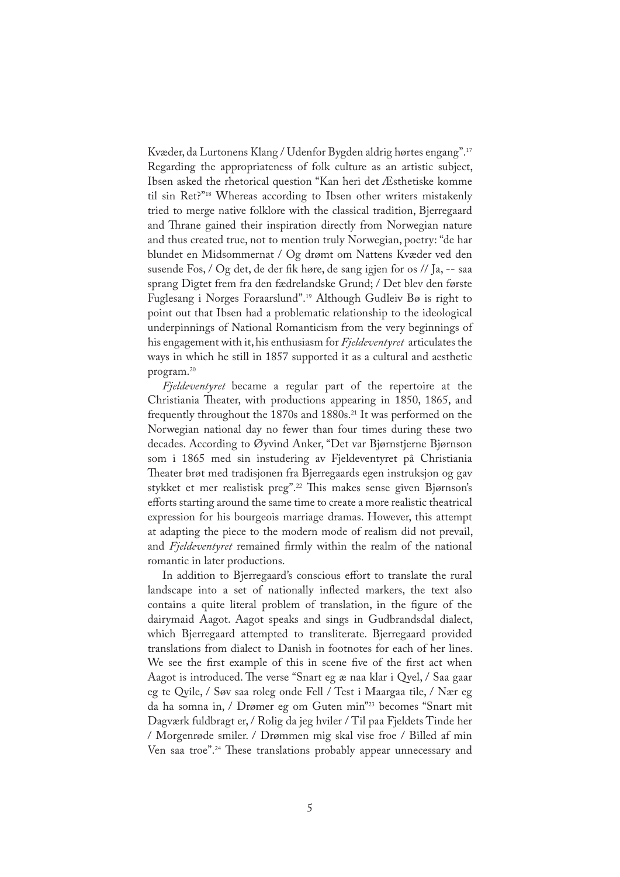Kvæder, da Lurtonens Klang / Udenfor Bygden aldrig hørtes engang".17 Regarding the appropriateness of folk culture as an artistic subject, Ibsen asked the rhetorical question "Kan heri det Æsthetiske komme til sin Ret?"18 Whereas according to Ibsen other writers mistakenly tried to merge native folklore with the classical tradition, Bjerregaard and Thrane gained their inspiration directly from Norwegian nature and thus created true, not to mention truly Norwegian, poetry: "de har blundet en Midsommernat / Og drømt om Nattens Kvæder ved den susende Fos, / Og det, de der �k høre, de sang igjen for os // Ja, -- saa sprang Digtet frem fra den fædrelandske Grund; / Det blev den første Fuglesang i Norges Foraarslund".19 Although Gudleiv Bø is right to point out that Ibsen had a problematic relationship to the ideological underpinnings of National Romanticism from the very beginnings of his engagement with it, his enthusiasm for *Fjeldeventyret* articulates the ways in which he still in 1857 supported it as a cultural and aesthetic program.20

*Fjeldeventyret* became a regular part of the repertoire at the Christiania Theater, with productions appearing in 1850, 1865, and frequently throughout the 1870s and 1880s.<sup>21</sup> It was performed on the Norwegian national day no fewer than four times during these two decades. According to Øyvind Anker, "Det var Bjørnstjerne Bjørnson som i 1865 med sin instudering av Fjeldeventyret på Christiania Theater brøt med tradisjonen fra Bjerregaards egen instruksjon og gav stykket et mer realistisk preg".<sup>22</sup> This makes sense given Bjørnson's efforts starting around the same time to create a more realistic theatrical expression for his bourgeois marriage dramas. However, this attempt at adapting the piece to the modern mode of realism did not prevail, and *Fjeldeventyret* remained firmly within the realm of the national romantic in later productions.

In addition to Bjerregaard's conscious effort to translate the rural landscape into a set of nationally in�ected markers, the text also contains a quite literal problem of translation, in the figure of the dairymaid Aagot. Aagot speaks and sings in Gudbrandsdal dialect, which Bjerregaard attempted to transliterate. Bjerregaard provided translations from dialect to Danish in footnotes for each of her lines. We see the first example of this in scene five of the first act when Aagot is introduced. The verse "Snart eg æ naa klar i Qvel, / Saa gaar eg te Qvile, / Søv saa roleg onde Fell / Test i Maargaa tile, / Nær eg da ha somna in, / Drømer eg om Guten min"23 becomes "Snart mit Dagværk fuldbragt er, / Rolig da jeg hviler / Til paa Fjeldets Tinde her / Morgenrøde smiler. / Drømmen mig skal vise froe / Billed af min Ven saa troe".<sup>24</sup> These translations probably appear unnecessary and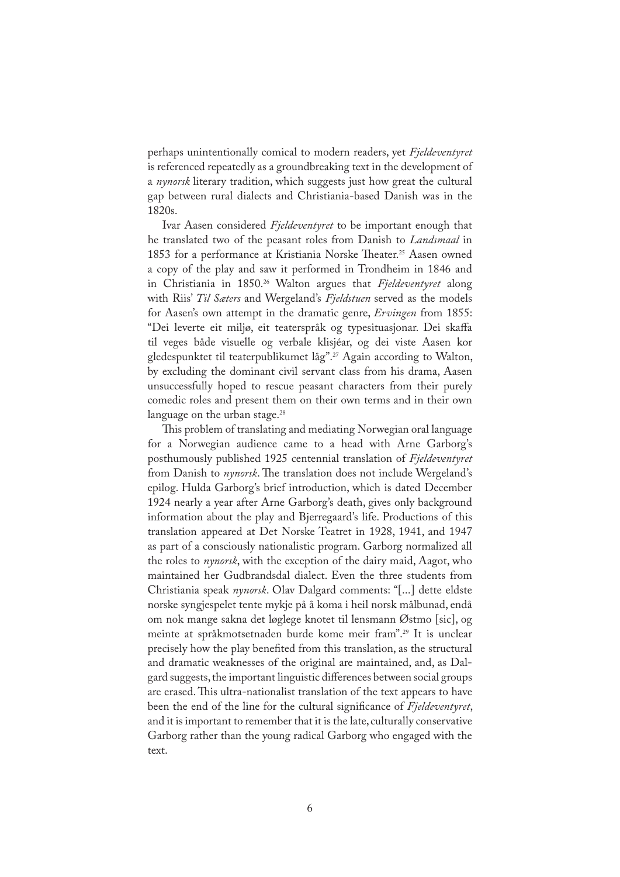perhaps unintentionally comical to modern readers, yet *Fjeldeventyret* is referenced repeatedly as a groundbreaking text in the development of a *nynorsk* literary tradition, which suggests just how great the cultural gap between rural dialects and Christiania-based Danish was in the 1820s.

Ivar Aasen considered *Fjeldeventyret* to be important enough that he translated two of the peasant roles from Danish to *Landsmaal* in 1853 for a performance at Kristiania Norske Theater.<sup>25</sup> Aasen owned a copy of the play and saw it performed in Trondheim in 1846 and in Christiania in 1850.26 Walton argues that *Fjeldeventyret* along with Riis' *Til Sæters* and Wergeland's *Fjeldstuen* served as the models for Aasen's own attempt in the dramatic genre, *Ervingen* from 1855: "Dei leverte eit miljø, eit teaterspråk og typesituasjonar. Dei skaffa til veges både visuelle og verbale klisjéar, og dei viste Aasen kor gledespunktet til teaterpublikumet låg".<sup>27</sup> Again according to Walton, by excluding the dominant civil servant class from his drama, Aasen unsuccessfully hoped to rescue peasant characters from their purely comedic roles and present them on their own terms and in their own language on the urban stage.<sup>28</sup>

This problem of translating and mediating Norwegian oral language for a Norwegian audience came to a head with Arne Garborg's posthumously published 1925 centennial translation of *Fjeldeventyret* from Danish to *nynorsk*. The translation does not include Wergeland's epilog. Hulda Garborg's brief introduction, which is dated December 1924 nearly a year after Arne Garborg's death, gives only background information about the play and Bjerregaard's life. Productions of this translation appeared at Det Norske Teatret in 1928, 1941, and 1947 as part of a consciously nationalistic program. Garborg normalized all the roles to *nynorsk*, with the exception of the dairy maid, Aagot, who maintained her Gudbrandsdal dialect. Even the three students from Christiania speak *nynorsk*. Olav Dalgard comments: "[...] dette eldste norske syngjespelet tente mykje på å koma i heil norsk målbunad, endå om nok mange sakna det løglege knotet til lensmann Østmo [sic], og meinte at språkmotsetnaden burde kome meir fram".29 It is unclear precisely how the play bene�ted from this translation, as the structural and dramatic weaknesses of the original are maintained, and, as Dalgard suggests, the important linguistic differences between social groups are erased. This ultra-nationalist translation of the text appears to have been the end of the line for the cultural significance of *Fjeldeventyret*, and it is important to remember that it is the late, culturally conservative Garborg rather than the young radical Garborg who engaged with the text.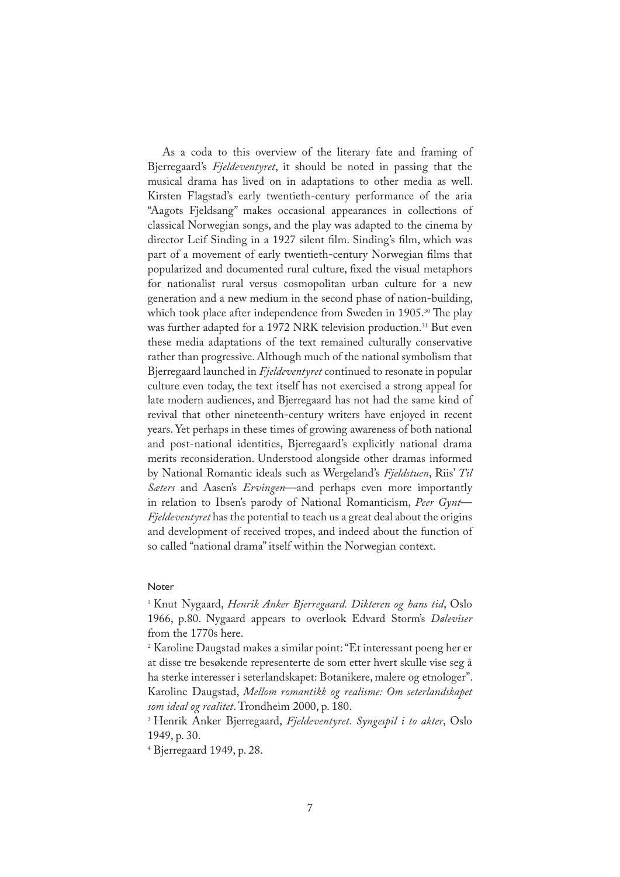As a coda to this overview of the literary fate and framing of Bjerregaard's *Fjeldeventyret*, it should be noted in passing that the musical drama has lived on in adaptations to other media as well. Kirsten Flagstad's early twentieth-century performance of the aria "Aagots Fjeldsang" makes occasional appearances in collections of classical Norwegian songs, and the play was adapted to the cinema by director Leif Sinding in a 1927 silent film. Sinding's film, which was part of a movement of early twentieth-century Norwegian films that popularized and documented rural culture, �xed the visual metaphors for nationalist rural versus cosmopolitan urban culture for a new generation and a new medium in the second phase of nation-building, which took place after independence from Sweden in 1905.<sup>30</sup> The play was further adapted for a 1972 NRK television production.<sup>31</sup> But even these media adaptations of the text remained culturally conservative rather than progressive. Although much of the national symbolism that Bjerregaard launched in *Fjeldeventyret* continued to resonate in popular culture even today, the text itself has not exercised a strong appeal for late modern audiences, and Bjerregaard has not had the same kind of revival that other nineteenth-century writers have enjoyed in recent years. Yet perhaps in these times of growing awareness of both national and post-national identities, Bjerregaard's explicitly national drama merits reconsideration. Understood alongside other dramas informed by National Romantic ideals such as Wergeland's *Fjeldstuen*, Riis' *Til Sæters* and Aasen's *Ervingen*—and perhaps even more importantly in relation to Ibsen's parody of National Romanticism, *Peer Gynt*— *Fjeldeventyret* has the potential to teach us a great deal about the origins and development of received tropes, and indeed about the function of so called "national drama" itself within the Norwegian context.

## Noter

1 Knut Nygaard, *Henrik Anker Bjerregaard. Dikteren og hans tid*, Oslo 1966, p.80. Nygaard appears to overlook Edvard Storm's *Døleviser* from the 1770s here.

2 Karoline Daugstad makes a similar point: "Et interessant poeng her er at disse tre besøkende representerte de som etter hvert skulle vise seg å ha sterke interesser i seterlandskapet: Botanikere, malere og etnologer". Karoline Daugstad, *Mellom romantikk og realisme: Om seterlandskapet som ideal og realitet*. Trondheim 2000, p. 180.

3 Henrik Anker Bjerregaard, *Fjeldeventyret. Syngespil i to akter*, Oslo 1949, p. 30.

4 Bjerregaard 1949, p. 28.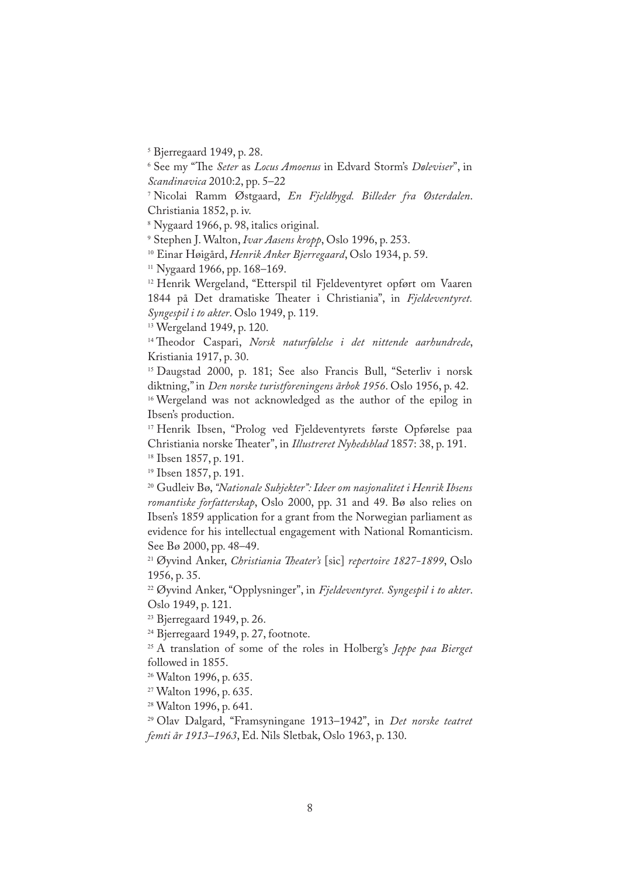5 Bjerregaard 1949, p. 28.

6 See my "�e *Seter* as *Locus Amoenus* in Edvard Storm's *Døleviser*", in *Scandinavica* 2010:2, pp. 5–22

7 Nicolai Ramm Østgaard, *En Fjeldbygd. Billeder fra Østerdalen*. Christiania 1852, p. iv.

8 Nygaard 1966, p. 98, italics original.

9 Stephen J. Walton, *Ivar Aasens kropp*, Oslo 1996, p. 253.

<sup>10</sup> Einar Høigård, *Henrik Anker Bjerregaard*, Oslo 1934, p. 59.

<sup>11</sup> Nygaard 1966, pp. 168–169.

<sup>12</sup> Henrik Wergeland, "Etterspil til Fjeldeventyret opført om Vaaren 1844 på Det dramatiske Theater i Christiania", in Fjeldeventyret. *Syngespil i to akter*. Oslo 1949, p. 119.

<sup>13</sup> Wergeland 1949, p. 120.

<sup>14</sup> Theodor Caspari, *Norsk naturfølelse i det nittende aarhundrede*, Kristiania 1917, p. 30.

<sup>15</sup> Daugstad 2000, p. 181; See also Francis Bull, "Seterliv i norsk diktning," in *Den norske turistforeningens årbok 1956*. Oslo 1956, p. 42.

<sup>16</sup> Wergeland was not acknowledged as the author of the epilog in Ibsen's production.

<sup>17</sup> Henrik Ibsen, "Prolog ved Fjeldeventyrets første Opførelse paa Christiania norske Theater", in *Illustreret Nyhedsblad* 1857: 38, p. 191.

<sup>18</sup> Ibsen 1857, p. 191.

<sup>19</sup> Ibsen 1857, p. 191.

<sup>20</sup> Gudleiv Bø, *"Nationale Subjekter": Ideer om nasjonalitet i Henrik Ibsens romantiske forfatterskap*, Oslo 2000, pp. 31 and 49. Bø also relies on Ibsen's 1859 application for a grant from the Norwegian parliament as evidence for his intellectual engagement with National Romanticism. See Bø 2000, pp. 48–49.

<sup>21</sup> Øyvind Anker, *Christiania �eater's* [sic] *repertoire 1827-1899*, Oslo 1956, p. 35.

<sup>22</sup> Øyvind Anker, "Opplysninger", in *Fjeldeventyret. Syngespil i to akter*. Oslo 1949, p. 121.

<sup>23</sup> Bjerregaard 1949, p. 26.

<sup>24</sup> Bjerregaard 1949, p. 27, footnote.

<sup>25</sup> A translation of some of the roles in Holberg's *Jeppe paa Bierget*  followed in 1855.

<sup>26</sup> Walton 1996, p. 635.

<sup>27</sup> Walton 1996, p. 635.

<sup>28</sup> Walton 1996, p. 641.

<sup>29</sup> Olav Dalgard, "Framsyningane 1913–1942", in *Det norske teatret femti år 1913–1963*, Ed. Nils Sletbak, Oslo 1963, p. 130.